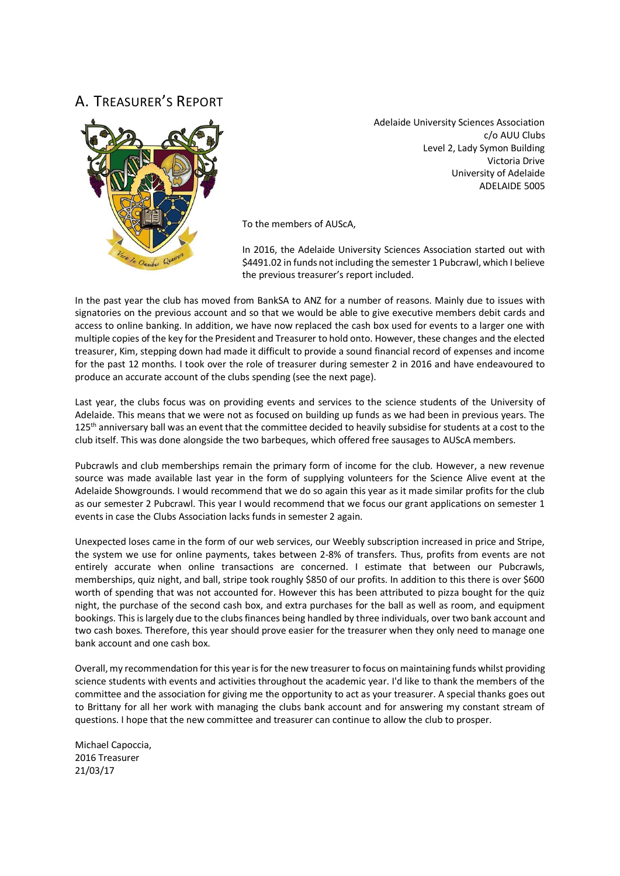## A. TREASURER'S REPORT



Adelaide University Sciences Association c/o AUU Clubs Level 2, Lady Symon Building Victoria Drive University of Adelaide ADELAIDE 5005

To the members of AUScA,

In 2016, the Adelaide University Sciences Association started out with \$4491.02 in funds not including the semester 1 Pubcrawl, which I believe the previous treasurer's report included.

In the past year the club has moved from BankSA to ANZ for a number of reasons. Mainly due to issues with signatories on the previous account and so that we would be able to give executive members debit cards and access to online banking. In addition, we have now replaced the cash box used for events to a larger one with multiple copies of the key for the President and Treasurer to hold onto. However, these changes and the elected treasurer, Kim, stepping down had made it difficult to provide a sound financial record of expenses and income for the past 12 months. I took over the role of treasurer during semester 2 in 2016 and have endeavoured to produce an accurate account of the clubs spending (see the next page).

Last year, the clubs focus was on providing events and services to the science students of the University of Adelaide. This means that we were not as focused on building up funds as we had been in previous years. The 125<sup>th</sup> anniversary ball was an event that the committee decided to heavily subsidise for students at a cost to the club itself. This was done alongside the two barbeques, which offered free sausages to AUScA members.

Pubcrawls and club memberships remain the primary form of income for the club. However, a new revenue source was made available last year in the form of supplying volunteers for the Science Alive event at the Adelaide Showgrounds. I would recommend that we do so again this year as it made similar profits for the club as our semester 2 Pubcrawl. This year I would recommend that we focus our grant applications on semester 1 events in case the Clubs Association lacks funds in semester 2 again.

Unexpected loses came in the form of our web services, our Weebly subscription increased in price and Stripe, the system we use for online payments, takes between 2-8% of transfers. Thus, profits from events are not entirely accurate when online transactions are concerned. I estimate that between our Pubcrawls, memberships, quiz night, and ball, stripe took roughly \$850 of our profits. In addition to this there is over \$600 worth of spending that was not accounted for. However this has been attributed to pizza bought for the quiz night, the purchase of the second cash box, and extra purchases for the ball as well as room, and equipment bookings. This is largely due to the clubs finances being handled by three individuals, over two bank account and two cash boxes. Therefore, this year should prove easier for the treasurer when they only need to manage one bank account and one cash box.

Overall, my recommendation for this year is for the new treasurer to focus on maintaining funds whilst providing science students with events and activities throughout the academic year. I'd like to thank the members of the committee and the association for giving me the opportunity to act as your treasurer. A special thanks goes out to Brittany for all her work with managing the clubs bank account and for answering my constant stream of questions. I hope that the new committee and treasurer can continue to allow the club to prosper.

Michael Capoccia, 2016 Treasurer 21/03/17